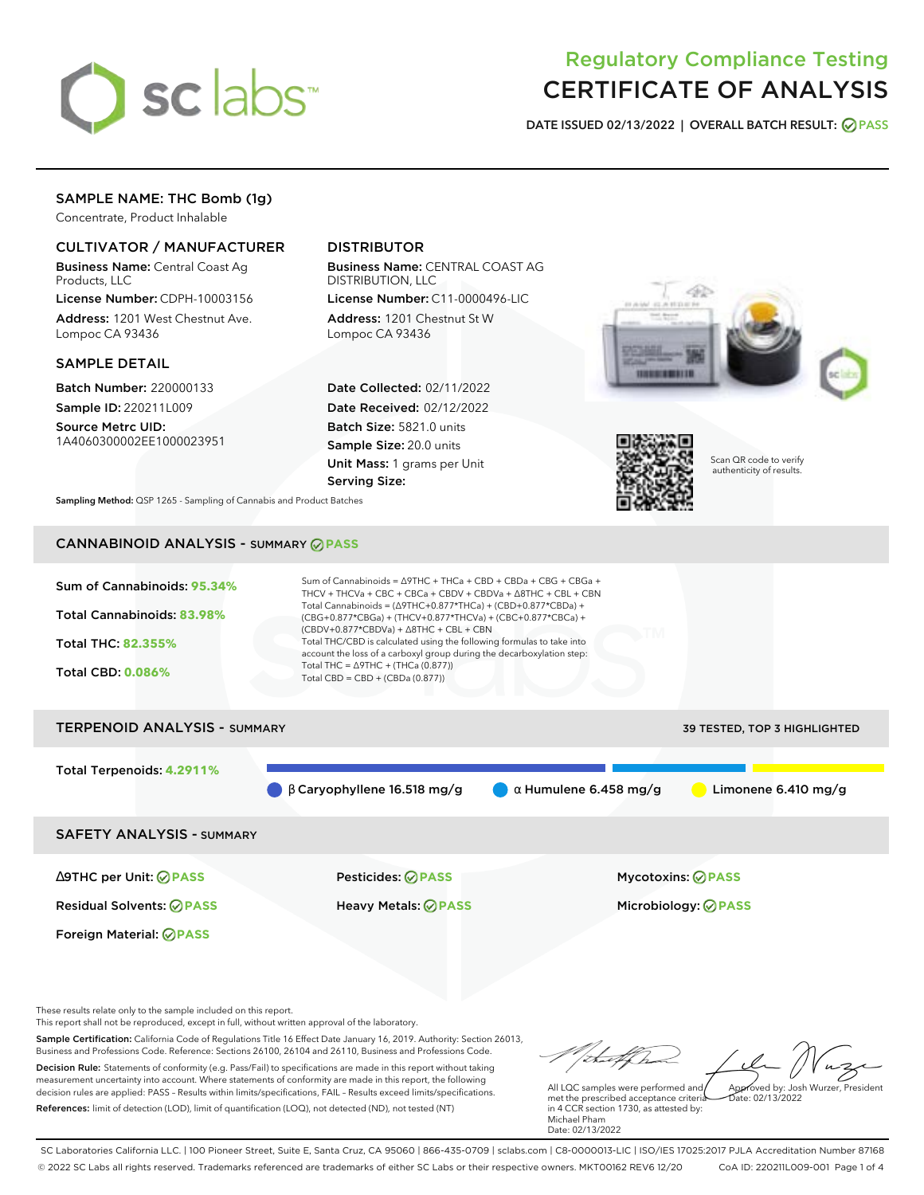

# Regulatory Compliance Testing CERTIFICATE OF ANALYSIS

**DATE ISSUED 02/13/2022 | OVERALL BATCH RESULT: PASS**

# SAMPLE NAME: THC Bomb (1g)

Concentrate, Product Inhalable

# CULTIVATOR / MANUFACTURER

Business Name: Central Coast Ag Products, LLC

License Number: CDPH-10003156 Address: 1201 West Chestnut Ave. Lompoc CA 93436

## SAMPLE DETAIL

Batch Number: 220000133 Sample ID: 220211L009

Source Metrc UID: 1A4060300002EE1000023951

# DISTRIBUTOR

Business Name: CENTRAL COAST AG DISTRIBUTION, LLC License Number: C11-0000496-LIC

Address: 1201 Chestnut St W Lompoc CA 93436

Date Collected: 02/11/2022 Date Received: 02/12/2022 Batch Size: 5821.0 units Sample Size: 20.0 units Unit Mass: 1 grams per Unit Serving Size:





Scan QR code to verify authenticity of results.

**Sampling Method:** QSP 1265 - Sampling of Cannabis and Product Batches

# CANNABINOID ANALYSIS - SUMMARY **PASS**



Foreign Material: **PASS**

Residual Solvents: **PASS** Heavy Metals: **PASS** Microbiology: **PASS**

∆9THC per Unit: **PASS** Pesticides: **PASS** Mycotoxins: **PASS**

These results relate only to the sample included on this report.

This report shall not be reproduced, except in full, without written approval of the laboratory.

Sample Certification: California Code of Regulations Title 16 Effect Date January 16, 2019. Authority: Section 26013, Business and Professions Code. Reference: Sections 26100, 26104 and 26110, Business and Professions Code. Decision Rule: Statements of conformity (e.g. Pass/Fail) to specifications are made in this report without taking measurement uncertainty into account. Where statements of conformity are made in this report, the following decision rules are applied: PASS – Results within limits/specifications, FAIL – Results exceed limits/specifications.

References: limit of detection (LOD), limit of quantification (LOQ), not detected (ND), not tested (NT)

Approved by: Josh Wurzer, President

 $\frac{1}{2}$ ate: 02/13/2022

All LQC samples were performed and met the prescribed acceptance criteria in 4 CCR section 1730, as attested by: Michael Pham Date: 02/13/2022

SC Laboratories California LLC. | 100 Pioneer Street, Suite E, Santa Cruz, CA 95060 | 866-435-0709 | sclabs.com | C8-0000013-LIC | ISO/IES 17025:2017 PJLA Accreditation Number 87168 © 2022 SC Labs all rights reserved. Trademarks referenced are trademarks of either SC Labs or their respective owners. MKT00162 REV6 12/20 CoA ID: 220211L009-001 Page 1 of 4